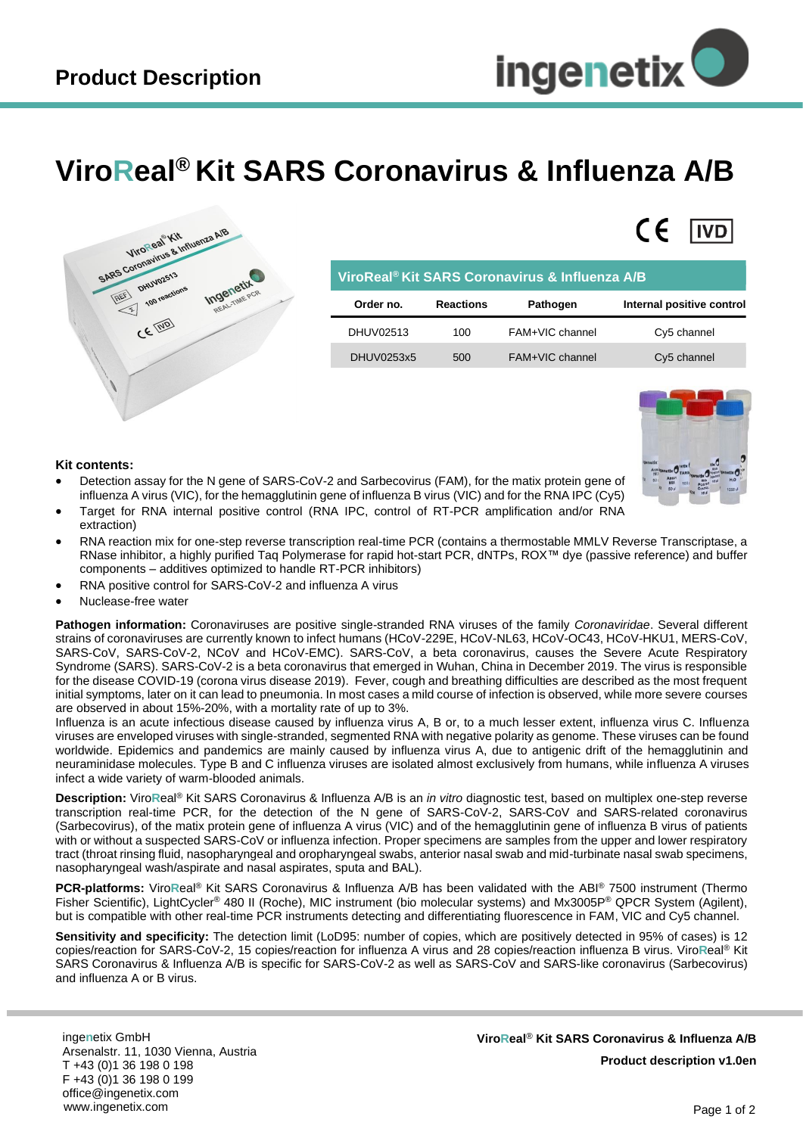$\epsilon$ 

l IVD

## **ViroReal® Kit SARS Coronavirus & Influenza A/B**



| ViroReal <sup>®</sup> Kit SARS Coronavirus & Influenza A/B |                  |                 |                           |
|------------------------------------------------------------|------------------|-----------------|---------------------------|
| Order no.                                                  | <b>Reactions</b> | Pathogen        | Internal positive control |
| DHUV02513                                                  | 100              | FAM+VIC channel | Cy5 channel               |
| DHUV0253x5                                                 | 500              | FAM+VIC channel | Cy5 channel               |



## **Kit contents:**

- Detection assay for the N gene of SARS-CoV-2 and Sarbecovirus (FAM), for the matix protein gene of influenza A virus (VIC), for the hemagglutinin gene of influenza B virus (VIC) and for the RNA IPC (Cy5)
- Target for RNA internal positive control (RNA IPC, control of RT-PCR amplification and/or RNA extraction)
- RNA reaction mix for one-step reverse transcription real-time PCR (contains a thermostable MMLV Reverse Transcriptase, a RNase inhibitor, a highly purified Taq Polymerase for rapid hot-start PCR, dNTPs, ROX™ dye (passive reference) and buffer components – additives optimized to handle RT-PCR inhibitors)
- RNA positive control for SARS-CoV-2 and influenza A virus
- Nuclease-free water

**Pathogen information:** Coronaviruses are positive single-stranded RNA viruses of the family *Coronaviridae*. Several different strains of coronaviruses are currently known to infect humans (HCoV-229E, HCoV-NL63, HCoV-OC43, HCoV-HKU1, MERS-CoV, SARS-CoV, SARS-CoV-2, NCoV and HCoV-EMC). SARS-CoV, a beta coronavirus, causes the Severe Acute Respiratory Syndrome (SARS). SARS-CoV-2 is a beta coronavirus that emerged in Wuhan, China in December 2019. The virus is responsible for the disease COVID-19 (corona virus disease 2019). Fever, cough and breathing difficulties are described as the most frequent initial symptoms, later on it can lead to pneumonia. In most cases a mild course of infection is observed, while more severe courses are observed in about 15%-20%, with a mortality rate of up to 3%.

Influenza is an acute infectious disease caused by influenza virus A, B or, to a much lesser extent, influenza virus C. Influenza viruses are enveloped viruses with single-stranded, segmented RNA with negative polarity as genome. These viruses can be found worldwide. Epidemics and pandemics are mainly caused by influenza virus A, due to antigenic drift of the hemagglutinin and neuraminidase molecules. Type B and C influenza viruses are isolated almost exclusively from humans, while influenza A viruses infect a wide variety of warm-blooded animals.

**Description:** Viro**R**eal® Kit SARS Coronavirus & Influenza A/B is an *in vitro* diagnostic test, based on multiplex one-step reverse transcription real-time PCR, for the detection of the N gene of SARS-CoV-2, SARS-CoV and SARS-related coronavirus (Sarbecovirus), of the matix protein gene of influenza A virus (VIC) and of the hemagglutinin gene of influenza B virus of patients with or without a suspected SARS-CoV or influenza infection. Proper specimens are samples from the upper and lower respiratory tract (throat rinsing fluid, nasopharyngeal and oropharyngeal swabs, anterior nasal swab and mid-turbinate nasal swab specimens, nasopharyngeal wash/aspirate and nasal aspirates, sputa and BAL).

**PCR-platforms:** ViroReal<sup>®</sup> Kit SARS Coronavirus & Influenza A/B has been validated with the ABI® 7500 instrument (Thermo Fisher Scientific), LightCycler® 480 II (Roche), MIC instrument (bio molecular systems) and Mx3005P® QPCR System (Agilent), but is compatible with other real-time PCR instruments detecting and differentiating fluorescence in FAM, VIC and Cy5 channel.

**Sensitivity and specificity:** The detection limit (LoD95: number of copies, which are positively detected in 95% of cases) is 12 copies/reaction for SARS-CoV-2, 15 copies/reaction for influenza A virus and 28 copies/reaction influenza B virus. Viro**R**eal® Kit SARS Coronavirus & Influenza A/B is specific for SARS-CoV-2 as well as SARS-CoV and SARS-like coronavirus (Sarbecovirus) and influenza A or B virus.

inge**n**etix GmbH Arsenalstr. 11, 1030 Vienna, Austria T +43 (0)1 36 198 0 198 F +43 (0)1 36 198 0 199 office@ingenetix.com www.ingenetix.com